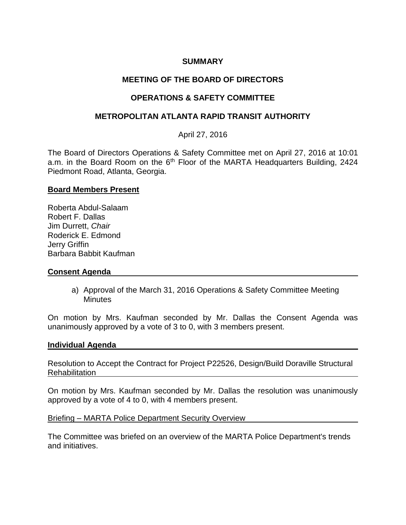### **SUMMARY**

# **MEETING OF THE BOARD OF DIRECTORS**

## **OPERATIONS & SAFETY COMMITTEE**

### **METROPOLITAN ATLANTA RAPID TRANSIT AUTHORITY**

### April 27, 2016

The Board of Directors Operations & Safety Committee met on April 27, 2016 at 10:01 a.m. in the Board Room on the 6<sup>th</sup> Floor of the MARTA Headquarters Building, 2424 Piedmont Road, Atlanta, Georgia.

#### **Board Members Present**

Roberta Abdul-Salaam Robert F. Dallas Jim Durrett, *Chair* Roderick E. Edmond Jerry Griffin Barbara Babbit Kaufman

#### **Consent Agenda**

a) Approval of the March 31, 2016 Operations & Safety Committee Meeting Minutes

On motion by Mrs. Kaufman seconded by Mr. Dallas the Consent Agenda was unanimously approved by a vote of 3 to 0, with 3 members present.

#### **Individual Agenda**

Resolution to Accept the Contract for Project P22526, Design/Build Doraville Structural Rehabilitation

On motion by Mrs. Kaufman seconded by Mr. Dallas the resolution was unanimously approved by a vote of 4 to 0, with 4 members present.

#### Briefing – MARTA Police Department Security Overview

The Committee was briefed on an overview of the MARTA Police Department's trends and initiatives.